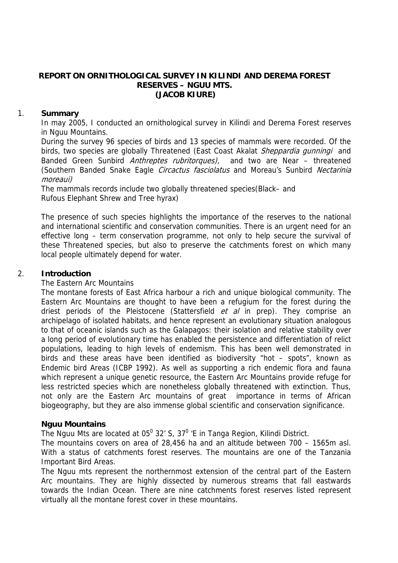## **REPORT ON ORNITHOLOGICAL SURVEY IN KILINDI AND DEREMA FOREST RESERVES – NGUU MTS. (JACOB KIURE)**

# 1. **Summary**

In may 2005, I conducted an ornithological survey in Kilindi and Derema Forest reserves in Nguu Mountains.

During the survey 96 species of birds and 13 species of mammals were recorded. Of the birds, two species are globally Threatened (East Coast Akalat Sheppardia gunningi and Banded Green Sunbird Anthreptes rubritorques), and two are Near – threatened (Southern Banded Snake Eagle Circactus fasciolatus and Moreau's Sunbird Nectarinia moreaui)

 The mammals records include two globally threatened species(Black– and Rufous Elephant Shrew and Tree hyrax)

The presence of such species highlights the importance of the reserves to the national and international scientific and conservation communities. There is an urgent need for an effective long – term conservation programme, not only to help secure the survival of these Threatened species, but also to preserve the catchments forest on which many local people ultimately depend for water.

## 2. **Introduction**

## The Eastern Arc Mountains

The montane forests of East Africa harbour a rich and unique biological community. The Eastern Arc Mountains are thought to have been a refugium for the forest during the driest periods of the Pleistocene (Stattersfield  $et$  al in prep). They comprise an archipelago of isolated habitats, and hence represent an evolutionary situation analogous to that of oceanic islands such as the Galapagos: their isolation and relative stability over a long period of evolutionary time has enabled the persistence and differentiation of relict populations, leading to high levels of endemism. This has been well demonstrated in birds and these areas have been identified as biodiversity "hot – spots", known as Endemic bird Areas (ICBP 1992). As well as supporting a rich endemic flora and fauna which represent a unique genetic resource, the Eastern Arc Mountains provide refuge for less restricted species which are nonetheless globally threatened with extinction. Thus, not only are the Eastern Arc mountains of great importance in terms of African biogeography, but they are also immense global scientific and conservation significance.

### **Nguu Mountains**

The Nguu Mts are located at  $05^0$  32' S, 37<sup>0</sup> 'E in Tanga Region, Kilindi District.

The mountains covers on area of 28,456 ha and an altitude between 700 – 1565m asl. With a status of catchments forest reserves. The mountains are one of the Tanzania Important Bird Areas.

The Nguu mts represent the northernmost extension of the central part of the Eastern Arc mountains. They are highly dissected by numerous streams that fall eastwards towards the Indian Ocean. There are nine catchments forest reserves listed represent virtually all the montane forest cover in these mountains.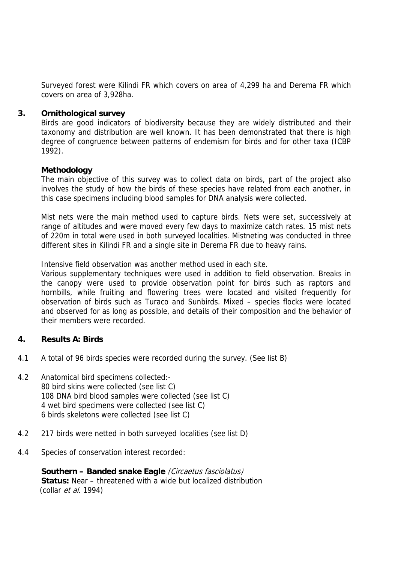Surveyed forest were Kilindi FR which covers on area of 4,299 ha and Derema FR which covers on area of 3,928ha.

## **3. Ornithological survey**

Birds are good indicators of biodiversity because they are widely distributed and their taxonomy and distribution are well known. It has been demonstrated that there is high degree of congruence between patterns of endemism for birds and for other taxa (ICBP 1992).

### **Methodology**

The main objective of this survey was to collect data on birds, part of the project also involves the study of how the birds of these species have related from each another, in this case specimens including blood samples for DNA analysis were collected.

Mist nets were the main method used to capture birds. Nets were set, successively at range of altitudes and were moved every few days to maximize catch rates. 15 mist nets of 220m in total were used in both surveyed localities. Mistneting was conducted in three different sites in Kilindi FR and a single site in Derema FR due to heavy rains.

Intensive field observation was another method used in each site.

Various supplementary techniques were used in addition to field observation. Breaks in the canopy were used to provide observation point for birds such as raptors and hornbills, while fruiting and flowering trees were located and visited frequently for observation of birds such as Turaco and Sunbirds. Mixed – species flocks were located and observed for as long as possible, and details of their composition and the behavior of their members were recorded.

# **4. Results A: Birds**

- 4.1 A total of 96 birds species were recorded during the survey. (See list B)
- 4.2 Anatomical bird specimens collected:- 80 bird skins were collected (see list C) 108 DNA bird blood samples were collected (see list C) 4 wet bird specimens were collected (see list C) 6 birds skeletons were collected (see list C)
- 4.2 217 birds were netted in both surveyed localities (see list D)
- 4.4 Species of conservation interest recorded:

**Southern – Banded snake Eagle** (Circaetus fasciolatus) **Status:** Near – threatened with a wide but localized distribution (collar et al. 1994)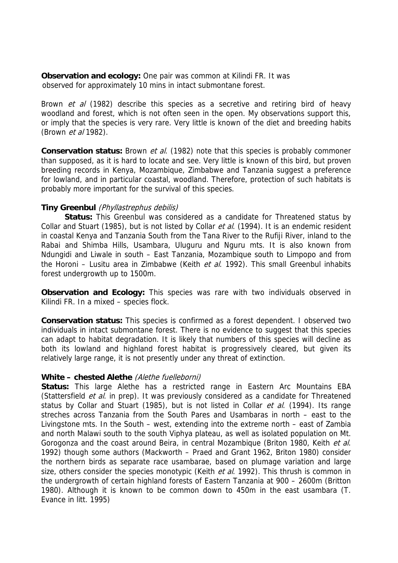**Observation and ecology:** One pair was common at Kilindi FR. It was observed for approximately 10 mins in intact submontane forest.

Brown *et al* (1982) describe this species as a secretive and retiring bird of heavy woodland and forest, which is not often seen in the open. My observations support this, or imply that the species is very rare. Very little is known of the diet and breeding habits (Brown et al 1982).

**Conservation status:** Brown *et al.* (1982) note that this species is probably commoner than supposed, as it is hard to locate and see. Very little is known of this bird, but proven breeding records in Kenya, Mozambique, Zimbabwe and Tanzania suggest a preference for lowland, and in particular coastal, woodland. Therefore, protection of such habitats is probably more important for the survival of this species.

### **Tiny Greenbul** (Phyllastrephus debilis)

**Status:** This Greenbul was considered as a candidate for Threatened status by Collar and Stuart (1985), but is not listed by Collar et al. (1994). It is an endemic resident in coastal Kenya and Tanzania South from the Tana River to the Rufiji River, inland to the Rabai and Shimba Hills, Usambara, Uluguru and Nguru mts. It is also known from Ndungidi and Liwale in south – East Tanzania, Mozambique south to Limpopo and from the Horoni – Lusitu area in Zimbabwe (Keith et al. 1992). This small Greenbul inhabits forest undergrowth up to 1500m.

**Observation and Ecology:** This species was rare with two individuals observed in Kilindi FR. In a mixed – species flock.

**Conservation status:** This species is confirmed as a forest dependent. I observed two individuals in intact submontane forest. There is no evidence to suggest that this species can adapt to habitat degradation. It is likely that numbers of this species will decline as both its lowland and highland forest habitat is progressively cleared, but given its relatively large range, it is not presently under any threat of extinction.

### **White – chested Alethe** (Alethe fuelleborni)

**Status:** This large Alethe has a restricted range in Eastern Arc Mountains EBA (Stattersfield *et al.* in prep). It was previously considered as a candidate for Threatened status by Collar and Stuart (1985), but is not listed in Collar *et al.* (1994). Its range streches across Tanzania from the South Pares and Usambaras in north – east to the Livingstone mts. In the South – west, extending into the extreme north – east of Zambia and north Malawi south to the south Viphya plateau, as well as isolated population on Mt. Gorogonza and the coast around Beira, in central Mozambique (Briton 1980, Keith et al. 1992) though some authors (Mackworth – Praed and Grant 1962, Briton 1980) consider the northern birds as separate race usambarae, based on plumage variation and large size, others consider the species monotypic (Keith et al. 1992). This thrush is common in the undergrowth of certain highland forests of Eastern Tanzania at 900 – 2600m (Britton 1980). Although it is known to be common down to 450m in the east usambara (T. Evance in litt. 1995)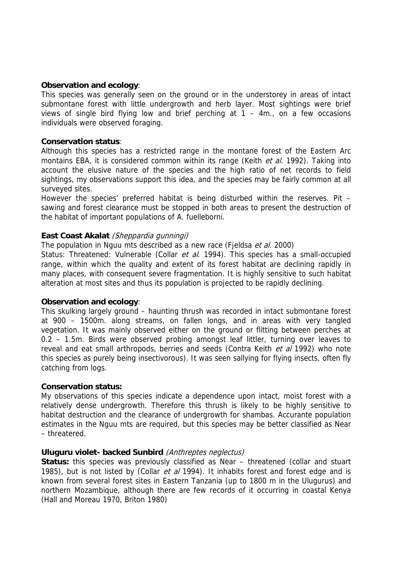## **Observation and ecology**:

This species was generally seen on the ground or in the understorey in areas of intact submontane forest with little undergrowth and herb layer. Most sightings were brief views of single bird flying low and brief perching at  $1 - 4m$ ., on a few occasions individuals were observed foraging.

## **Conservation status**:

Although this species has a restricted range in the montane forest of the Eastern Arc montains EBA, it is considered common within its range (Keith et al. 1992). Taking into account the elusive nature of the species and the high ratio of net records to field sightings, my observations support this idea, and the species may be fairly common at all surveyed sites.

However the species' preferred habitat is being disturbed within the reserves. Pit – sawing and forest clearance must be stopped in both areas to present the destruction of the habitat of important populations of A. fuelleborni.

# **East Coast Akalat** (Sheppardia gunningi)

The population in Nguu mts described as a new race (Fjeldsa et al. 2000)

Status: Threatened: Vulnerable (Collar et al. 1994). This species has a small-occupied range, within which the quality and extent of its forest habitat are declining rapidly in many places, with consequent severe fragmentation. It is highly sensitive to such habitat alteration at most sites and thus its population is projected to be rapidly declining.

# **Observation and ecology**:

This skulking largely ground – haunting thrush was recorded in intact submontane forest at 900 – 1500m. along streams, on fallen longs, and in areas with very tangled vegetation. It was mainly observed either on the ground or flitting between perches at 0.2 – 1.5m. Birds were observed probing amongst leaf littler, turning over leaves to reveal and eat small arthropods, berries and seeds (Contra Keith *et al* 1992) who note this species as purely being insectivorous). It was seen sallying for flying insects, often fly catching from logs.

# **Conservation status:**

My observations of this species indicate a dependence upon intact, moist forest with a relatively dense undergrowth. Therefore this thrush is likely to be highly sensitive to habitat destruction and the clearance of undergrowth for shambas. Accurante population estimates in the Nguu mts are required, but this species may be better classified as Near – threatered.

### **Uluguru violet- backed Sunbird** (Anthreptes neglectus)

**Status:** this species was previously classified as Near – threatened (collar and stuart 1985), but is not listed by (Collar et al 1994). It inhabits forest and forest edge and is known from several forest sites in Eastern Tanzania (up to 1800 m in the Ulugurus) and northern Mozambique, although there are few records of it occurring in coastal Kenya (Hall and Moreau 1970, Briton 1980)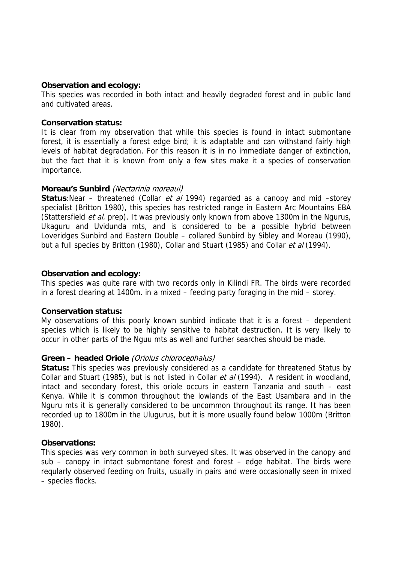### **Observation and ecology:**

This species was recorded in both intact and heavily degraded forest and in public land and cultivated areas.

# **Conservation status:**

It is clear from my observation that while this species is found in intact submontane forest, it is essentially a forest edge bird; it is adaptable and can withstand fairly high levels of habitat degradation. For this reason it is in no immediate danger of extinction, but the fact that it is known from only a few sites make it a species of conservation importance.

### **Moreau's Sunbird** (Nectarinia moreaui)

**Status**:Near – threatened (Collar *et al* 1994) regarded as a canopy and mid –storey specialist (Britton 1980), this species has restricted range in Eastern Arc Mountains EBA (Stattersfield *et al.* prep). It was previously only known from above 1300m in the Ngurus, Ukaguru and Uvidunda mts, and is considered to be a possible hybrid between Loveridges Sunbird and Eastern Double – collared Sunbird by Sibley and Moreau (1990), but a full species by Britton (1980), Collar and Stuart (1985) and Collar et al (1994).

### **Observation and ecology:**

This species was quite rare with two records only in Kilindi FR. The birds were recorded in a forest clearing at 1400m. in a mixed – feeding party foraging in the mid – storey.

### **Conservation status:**

My observations of this poorly known sunbird indicate that it is a forest – dependent species which is likely to be highly sensitive to habitat destruction. It is very likely to occur in other parts of the Nguu mts as well and further searches should be made.

### **Green – headed Oriole** (Oriolus chlorocephalus)

**Status:** This species was previously considered as a candidate for threatened Status by Collar and Stuart (1985), but is not listed in Collar et al (1994). A resident in woodland, intact and secondary forest, this oriole occurs in eastern Tanzania and south – east Kenya. While it is common throughout the lowlands of the East Usambara and in the Nguru mts it is generally considered to be uncommon throughout its range. It has been recorded up to 1800m in the Ulugurus, but it is more usually found below 1000m (Britton 1980).

### **Observations:**

This species was very common in both surveyed sites. It was observed in the canopy and sub – canopy in intact submontane forest and forest – edge habitat. The birds were reqularly observed feeding on fruits, usually in pairs and were occasionally seen in mixed – species flocks.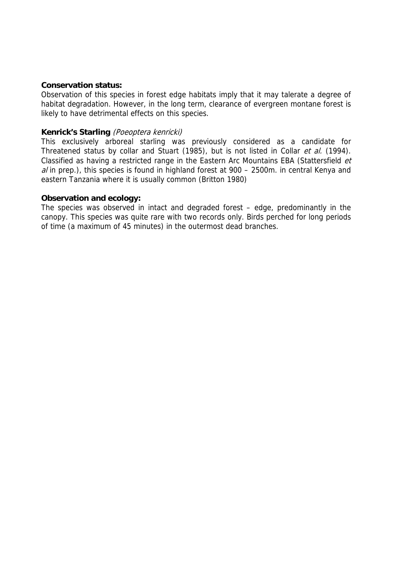### **Conservation status:**

Observation of this species in forest edge habitats imply that it may talerate a degree of habitat degradation. However, in the long term, clearance of evergreen montane forest is likely to have detrimental effects on this species.

## **Kenrick's Starling** (Poeoptera kenricki)

This exclusively arboreal starling was previously considered as a candidate for Threatened status by collar and Stuart (1985), but is not listed in Collar *et al.* (1994). Classified as having a restricted range in the Eastern Arc Mountains EBA (Stattersfield et  $a$  in prep.), this species is found in highland forest at 900 – 2500m. in central Kenya and eastern Tanzania where it is usually common (Britton 1980)

### **Observation and ecology:**

The species was observed in intact and degraded forest – edge, predominantly in the canopy. This species was quite rare with two records only. Birds perched for long periods of time (a maximum of 45 minutes) in the outermost dead branches.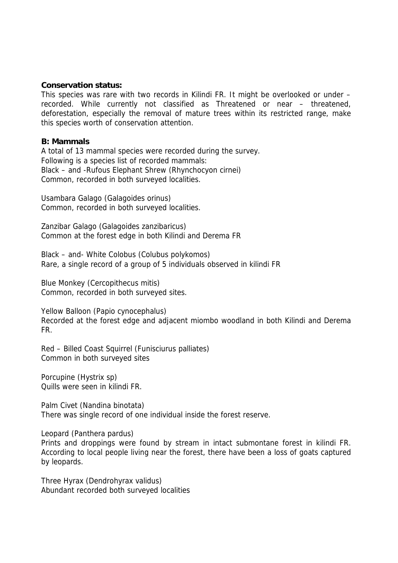#### **Conservation status:**

This species was rare with two records in Kilindi FR. It might be overlooked or under – recorded. While currently not classified as Threatened or near – threatened, deforestation, especially the removal of mature trees within its restricted range, make this species worth of conservation attention.

#### **B: Mammals**

A total of 13 mammal species were recorded during the survey. Following is a species list of recorded mammals: Black – and -Rufous Elephant Shrew (Rhynchocyon cirnei) Common, recorded in both surveyed localities.

Usambara Galago (Galagoides orinus) Common, recorded in both surveyed localities.

Zanzibar Galago (Galagoides zanzibaricus) Common at the forest edge in both Kilindi and Derema FR

Black – and- White Colobus (Colubus polykomos) Rare, a single record of a group of 5 individuals observed in kilindi FR

Blue Monkey (Cercopithecus mitis) Common, recorded in both surveyed sites.

Yellow Balloon (Papio cynocephalus) Recorded at the forest edge and adjacent miombo woodland in both Kilindi and Derema FR.

Red – Billed Coast Squirrel (Funisciurus palliates) Common in both surveyed sites

Porcupine (Hystrix sp) Quills were seen in kilindi FR.

Palm Civet (Nandina binotata) There was single record of one individual inside the forest reserve.

Leopard (Panthera pardus)

Prints and droppings were found by stream in intact submontane forest in kilindi FR. According to local people living near the forest, there have been a loss of goats captured by leopards.

Three Hyrax (Dendrohyrax validus) Abundant recorded both surveyed localities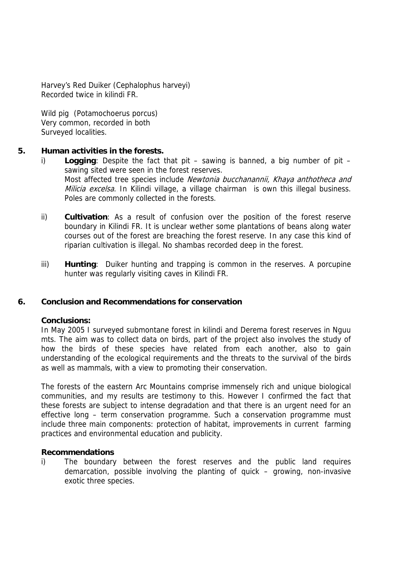Harvey's Red Duiker (Cephalophus harveyi) Recorded twice in kilindi FR.

Wild pig (Potamochoerus porcus) Very common, recorded in both Surveyed localities.

# **5. Human activities in the forests.**

- i) **Logging**: Despite the fact that pit sawing is banned, a big number of pit sawing sited were seen in the forest reserves. Most affected tree species include Newtonia bucchanannii, Khaya anthotheca and Milicia excelsa. In Kilindi village, a village chairman is own this illegal business. Poles are commonly collected in the forests.
- ii) **Cultivation**: As a result of confusion over the position of the forest reserve boundary in Kilindi FR. It is unclear wether some plantations of beans along water courses out of the forest are breaching the forest reserve. In any case this kind of riparian cultivation is illegal. No shambas recorded deep in the forest.
- iii) **Hunting**: Duiker hunting and trapping is common in the reserves. A porcupine hunter was regularly visiting caves in Kilindi FR.

# **6. Conclusion and Recommendations for conservation**

# **Conclusions:**

In May 2005 I surveyed submontane forest in kilindi and Derema forest reserves in Nguu mts. The aim was to collect data on birds, part of the project also involves the study of how the birds of these species have related from each another, also to gain understanding of the ecological requirements and the threats to the survival of the birds as well as mammals, with a view to promoting their conservation.

The forests of the eastern Arc Mountains comprise immensely rich and unique biological communities, and my results are testimony to this. However I confirmed the fact that these forests are subject to intense degradation and that there is an urgent need for an effective long – term conservation programme. Such a conservation programme must include three main components: protection of habitat, improvements in current farming practices and environmental education and publicity.

### **Recommendations**

i) The boundary between the forest reserves and the public land requires demarcation, possible involving the planting of quick – growing, non-invasive exotic three species.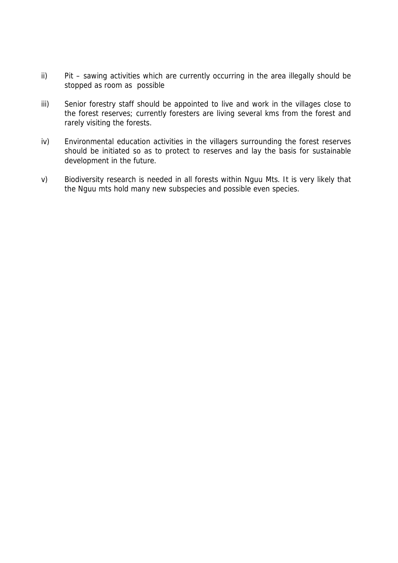- ii) Pit sawing activities which are currently occurring in the area illegally should be stopped as room as possible
- iii) Senior forestry staff should be appointed to live and work in the villages close to the forest reserves; currently foresters are living several kms from the forest and rarely visiting the forests.
- iv) Environmental education activities in the villagers surrounding the forest reserves should be initiated so as to protect to reserves and lay the basis for sustainable development in the future.
- v) Biodiversity research is needed in all forests within Nguu Mts. It is very likely that the Nguu mts hold many new subspecies and possible even species.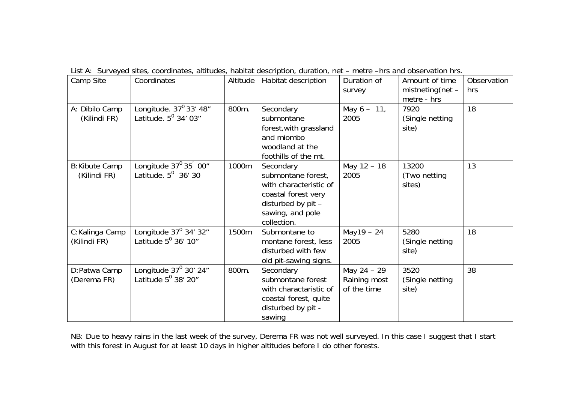| Camp Site                            | Coordinates                                                                 | Altitude | Habitat description                                                                                                                       | Duration of<br>survey                      | Amount of time<br>$m$ istneting(net -<br>metre - hrs | Observation<br>hrs |
|--------------------------------------|-----------------------------------------------------------------------------|----------|-------------------------------------------------------------------------------------------------------------------------------------------|--------------------------------------------|------------------------------------------------------|--------------------|
| A: Dibilo Camp<br>(Kilindi FR)       | Longitude. $37^0$ 33' 48"<br>Latitude. 5 <sup>0</sup> 34' 03"               | 800m.    | Secondary<br>submontane<br>forest, with grassland<br>and miombo<br>woodland at the<br>foothills of the mt.                                | May $6 - 11$ ,<br>2005                     | 7920<br>(Single netting<br>site)                     | 18                 |
| <b>B:Kibute Camp</b><br>(Kilindi FR) | Longitude $37^{\circ}35^{\circ}00^{\prime\prime}$<br>Latitude. $5^0$ 36' 30 | 1000m    | Secondary<br>submontane forest,<br>with characteristic of<br>coastal forest very<br>disturbed by pit -<br>sawing, and pole<br>collection. | May 12 - 18<br>2005                        | 13200<br>(Two netting<br>sites)                      | 13                 |
| C:Kalinga Camp<br>(Kilindi FR)       | Longitude 37 $^0$ 34′ 32″<br>Latitude $5^0$ 36' 10"                         | 1500m    | Submontane to<br>montane forest, less<br>disturbed with few<br>old pit-sawing signs.                                                      | $May19 - 24$<br>2005                       | 5280<br>(Single netting<br>site)                     | 18                 |
| D:Patwa Camp<br>(Derema FR)          | Longitude $37^0$ 30' 24"<br>Latitude $5^0$ 38' 20"                          | 800m.    | Secondary<br>submontane forest<br>with charactaristic of<br>coastal forest, quite<br>disturbed by pit -<br>sawing                         | May 24 - 29<br>Raining most<br>of the time | 3520<br>(Single netting<br>site)                     | 38                 |

List A: Surveyed sites, coordinates, altitudes, habitat description, duration, net – metre –hrs and observation hrs.

NB: Due to heavy rains in the last week of the survey, Derema FR was not well surveyed. In this case I suggest that I start with this forest in August for at least 10 days in higher altitudes before I do other forests.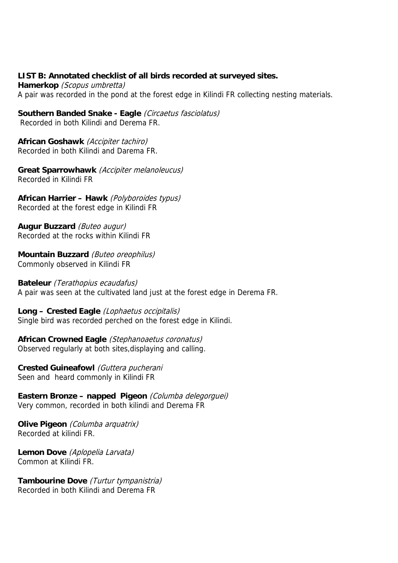# **LIST B: Annotated checklist of all birds recorded at surveyed sites.**

**Hamerkop** (Scopus umbretta) A pair was recorded in the pond at the forest edge in Kilindi FR collecting nesting materials.

**Southern Banded Snake - Eagle** (Circaetus fasciolatus) Recorded in both Kilindi and Derema FR.

**African Goshawk** (Accipiter tachiro) Recorded in both Kilindi and Darema FR.

**Great Sparrowhawk** (Accipiter melanoleucus) Recorded in Kilindi FR

**African Harrier – Hawk** (Polyboroides typus) Recorded at the forest edge in Kilindi FR

**Augur Buzzard** (Buteo augur) Recorded at the rocks within Kilindi FR

**Mountain Buzzard** (Buteo oreophilus) Commonly observed in Kilindi FR

**Bateleur** (Terathopius ecaudafus) A pair was seen at the cultivated land just at the forest edge in Derema FR.

**Long – Crested Eagle** (Lophaetus occipitalis) Single bird was recorded perched on the forest edge in Kilindi.

**African Crowned Eagle** (Stephanoaetus coronatus) Observed regularly at both sites,displaying and calling.

**Crested Guineafowl** (Guttera pucherani Seen and heard commonly in Kilindi FR

**Eastern Bronze – napped Pigeon** (Columba delegorguei) Very common, recorded in both kilindi and Derema FR

**Olive Pigeon** (Columba arquatrix) Recorded at kilindi FR.

**Lemon Dove** (Aplopelia Larvata) Common at Kilindi FR.

**Tambourine Dove** (Turtur tympanistria) Recorded in both Kilindi and Derema FR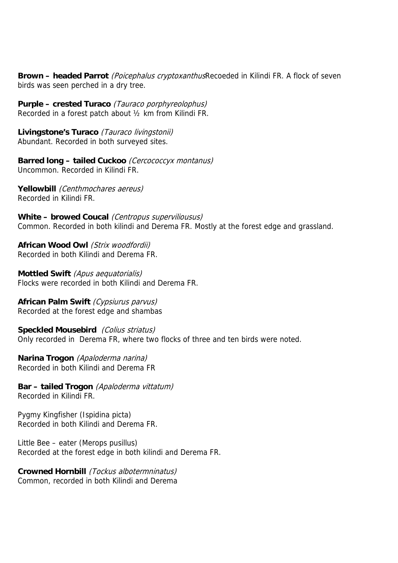**Brown – headed Parrot** (Poicephalus cryptoxanthusRecoeded in Kilindi FR. A flock of seven birds was seen perched in a dry tree.

**Purple – crested Turaco** (Tauraco porphyreolophus) Recorded in a forest patch about ½ km from Kilindi FR.

**Livingstone's Turaco** (Tauraco livingstonii) Abundant. Recorded in both surveyed sites.

**Barred long – tailed Cuckoo** (Cercococcyx montanus) Uncommon. Recorded in Kilindi FR.

**Yellowbill** (Centhmochares aereus) Recorded in Kilindi FR.

**White – browed Coucal** (Centropus superviliousus) Common. Recorded in both kilindi and Derema FR. Mostly at the forest edge and grassland.

**African Wood Owl** (Strix woodfordii) Recorded in both Kilindi and Derema FR.

**Mottled Swift** (Apus aequatorialis) Flocks were recorded in both Kilindi and Derema FR.

**African Palm Swift** (Cypsiurus parvus) Recorded at the forest edge and shambas

**Speckled Mousebird** (Colius striatus) Only recorded in Derema FR, where two flocks of three and ten birds were noted.

**Narina Trogon** (Apaloderma narina) Recorded in both Kilindi and Derema FR

**Bar – tailed Trogon** (Apaloderma vittatum) Recorded in Kilindi FR.

Pygmy Kingfisher (Ispidina picta) Recorded in both Kilindi and Derema FR.

Little Bee – eater (Merops pusillus) Recorded at the forest edge in both kilindi and Derema FR.

**Crowned Hornbill** (Tockus albotermninatus) Common, recorded in both Kilindi and Derema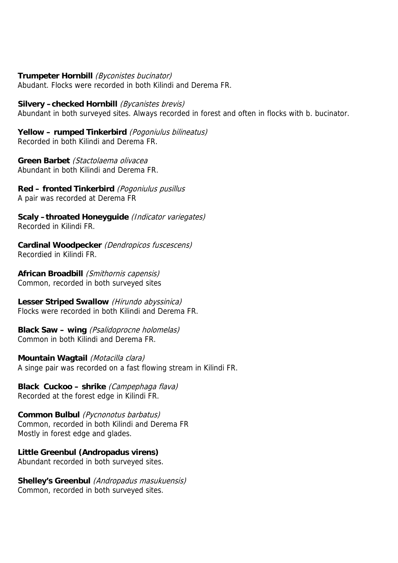## **Trumpeter Hornbill** (Byconistes bucinator)

Abudant. Flocks were recorded in both Kilindi and Derema FR.

#### **Silvery –checked Hornbill** (Bycanistes brevis)

Abundant in both surveyed sites. Always recorded in forest and often in flocks with b. bucinator.

**Yellow – rumped Tinkerbird** (Pogoniulus bilineatus) Recorded in both Kilindi and Derema FR.

**Green Barbet** (Stactolaema olivacea Abundant in both Kilindi and Derema FR.

**Red – fronted Tinkerbird** (Pogoniulus pusillus A pair was recorded at Derema FR

**Scaly –throated Honeyguide** (Indicator variegates) Recorded in Kilindi FR.

**Cardinal Woodpecker** (Dendropicos fuscescens) Recordied in Kilindi FR.

**African Broadbill** (Smithornis capensis) Common, recorded in both surveyed sites

**Lesser Striped Swallow** (Hirundo abyssinica) Flocks were recorded in both Kilindi and Derema FR.

**Black Saw – wing** (Psalidoprocne holomelas) Common in both Kilindi and Derema FR.

**Mountain Wagtail** (Motacilla clara) A singe pair was recorded on a fast flowing stream in Kilindi FR.

**Black Cuckoo – shrike** (Campephaga flava) Recorded at the forest edge in Kilindi FR.

**Common Bulbul** (Pycnonotus barbatus) Common, recorded in both Kilindi and Derema FR Mostly in forest edge and glades.

# **Little Greenbul (Andropadus virens)**

Abundant recorded in both surveyed sites.

**Shelley's Greenbul** (Andropadus masukuensis) Common, recorded in both surveyed sites.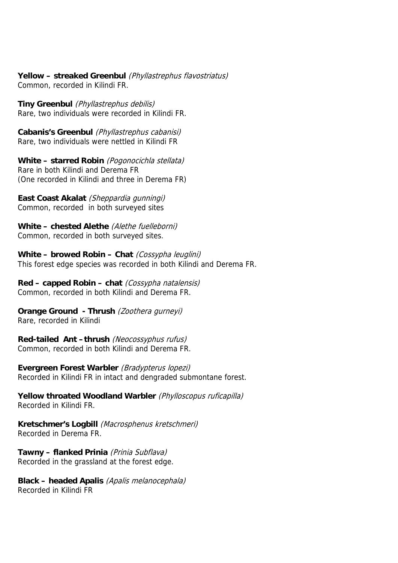**Yellow – streaked Greenbul** (Phyllastrephus flavostriatus) Common, recorded in Kilindi FR.

**Tiny Greenbul** (Phyllastrephus debilis) Rare, two individuals were recorded in Kilindi FR.

**Cabanis's Greenbul** (Phyllastrephus cabanisi) Rare, two individuals were nettled in Kilindi FR

**White – starred Robin** (Pogonocichla stellata) Rare in both Kilindi and Derema FR (One recorded in Kilindi and three in Derema FR)

**East Coast Akalat** (Sheppardia gunningi) Common, recorded in both surveyed sites

**White – chested Alethe** (Alethe fuelleborni) Common, recorded in both surveyed sites.

**White – browed Robin – Chat** (Cossypha leuglini) This forest edge species was recorded in both Kilindi and Derema FR.

**Red – capped Robin – chat** (Cossypha natalensis) Common, recorded in both Kilindi and Derema FR.

**Orange Ground - Thrush** (Zoothera gurneyi) Rare, recorded in Kilindi

**Red-tailed Ant –thrush** (Neocossyphus rufus) Common, recorded in both Kilindi and Derema FR.

**Evergreen Forest Warbler** (Bradypterus lopezi) Recorded in Kilindi FR in intact and dengraded submontane forest.

**Yellow throated Woodland Warbler** (Phylloscopus ruficapilla) Recorded in Kilindi FR.

**Kretschmer's Logbill** (Macrosphenus kretschmeri) Recorded in Derema FR.

**Tawny – flanked Prinia** (Prinia Subflava) Recorded in the grassland at the forest edge.

**Black – headed Apalis** (Apalis melanocephala) Recorded in Kilindi FR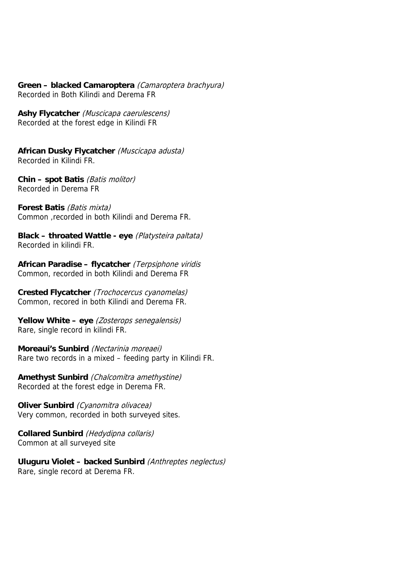**Green – blacked Camaroptera** (Camaroptera brachyura) Recorded in Both Kilindi and Derema FR

**Ashy Flycatcher** (Muscicapa caerulescens) Recorded at the forest edge in Kilindi FR

**African Dusky Flycatcher** (Muscicapa adusta) Recorded in Kilindi FR.

**Chin – spot Batis** (Batis molitor) Recorded in Derema FR

**Forest Batis** (Batis mixta) Common ,recorded in both Kilindi and Derema FR.

**Black – throated Wattle - eye** (Platysteira paltata) Recorded in kilindi FR.

**African Paradise – flycatcher** (Terpsiphone viridis Common, recorded in both Kilindi and Derema FR

**Crested Flycatcher** (Trochocercus cyanomelas) Common, recored in both Kilindi and Derema FR.

**Yellow White – eye** (Zosterops senegalensis) Rare, single record in kilindi FR.

**Moreaui's Sunbird** (Nectarinia moreaei) Rare two records in a mixed – feeding party in Kilindi FR.

**Amethyst Sunbird** (Chalcomitra amethystine) Recorded at the forest edge in Derema FR.

**Oliver Sunbird** (Cyanomitra olivacea) Very common, recorded in both surveyed sites.

**Collared Sunbird** (Hedydipna collaris) Common at all surveyed site

**Uluguru Violet – backed Sunbird** (Anthreptes neglectus) Rare, single record at Derema FR.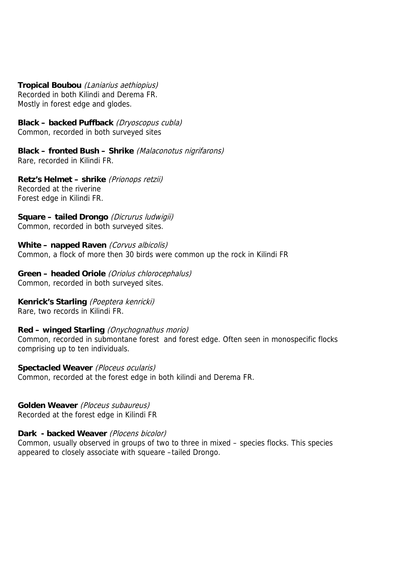# **Tropical Boubou** (Laniarius aethiopius)

Recorded in both Kilindi and Derema FR. Mostly in forest edge and glodes.

**Black – backed Puffback** (Dryoscopus cubla) Common, recorded in both surveyed sites

**Black – fronted Bush – Shrike** (Malaconotus nigrifarons) Rare, recorded in Kilindi FR.

# **Retz's Helmet – shrike** (Prionops retzii)

Recorded at the riverine Forest edge in Kilindi FR.

**Square – tailed Drongo** (Dicrurus ludwigii) Common, recorded in both surveyed sites.

# White – napped Raven (Corvus albicolis)

Common, a flock of more then 30 birds were common up the rock in Kilindi FR

### **Green – headed Oriole** (Oriolus chlorocephalus) Common, recorded in both surveyed sites.

# **Kenrick's Starling** (Poeptera kenricki)

Rare, two records in Kilindi FR.

# **Red – winged Starling** (Onychognathus morio)

Common, recorded in submontane forest and forest edge. Often seen in monospecific flocks comprising up to ten individuals.

# **Spectacled Weaver** (Ploceus ocularis)

Common, recorded at the forest edge in both kilindi and Derema FR.

# **Golden Weaver** (Ploceus subaureus)

Recorded at the forest edge in Kilindi FR

# **Dark - backed Weaver** (Plocens bicolor)

Common, usually observed in groups of two to three in mixed – species flocks. This species appeared to closely associate with squeare –tailed Drongo.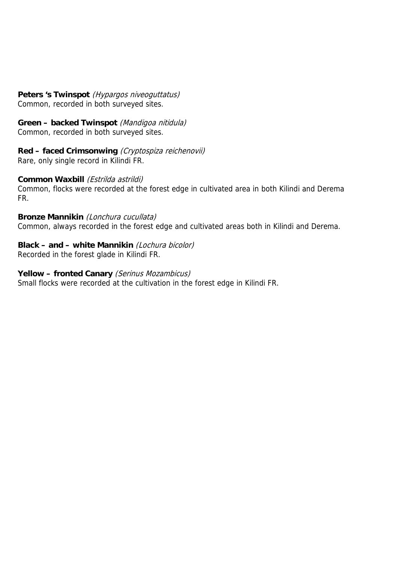# Peters 's Twinspot (Hypargos niveoguttatus) Common, recorded in both surveyed sites.

**Green – backed Twinspot** (Mandigoa nitidula) Common, recorded in both surveyed sites.

**Red – faced Crimsonwing** (Cryptospiza reichenovii) Rare, only single record in Kilindi FR.

# **Common Waxbill** (Estrilda astrildi)

Common, flocks were recorded at the forest edge in cultivated area in both Kilindi and Derema FR.

# **Bronze Mannikin** (Lonchura cucullata)

Common, always recorded in the forest edge and cultivated areas both in Kilindi and Derema.

# **Black – and – white Mannikin** (Lochura bicolor)

Recorded in the forest glade in Kilindi FR.

# **Yellow – fronted Canary** (Serinus Mozambicus)

Small flocks were recorded at the cultivation in the forest edge in Kilindi FR.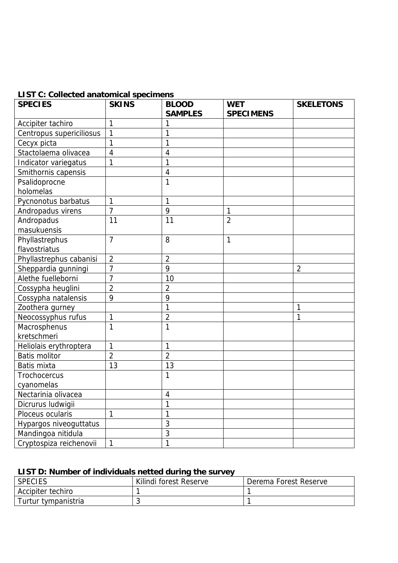|  |  |  |  | <b>LIST C: Collected anatomical specimens</b> |  |  |
|--|--|--|--|-----------------------------------------------|--|--|
|--|--|--|--|-----------------------------------------------|--|--|

| <b>SPECIES</b>           | <b>SKINS</b>   | <b>BLOOD</b>   | <b>WET</b>       | <b>SKELETONS</b> |
|--------------------------|----------------|----------------|------------------|------------------|
|                          |                | <b>SAMPLES</b> | <b>SPECIMENS</b> |                  |
| Accipiter tachiro        | 1              |                |                  |                  |
| Centropus supericiliosus | $\mathbf{1}$   |                |                  |                  |
| Cecyx picta              | 1              |                |                  |                  |
| Stactolaema olivacea     | 4              | 4              |                  |                  |
| Indicator variegatus     | 1              | 1              |                  |                  |
| Smithornis capensis      |                | 4              |                  |                  |
| Psalidoprocne            |                | $\mathbf{1}$   |                  |                  |
| holomelas                |                |                |                  |                  |
| Pycnonotus barbatus      | 1              | 1              |                  |                  |
| Andropadus virens        | $\overline{7}$ | 9              | 1                |                  |
| Andropadus               | 11             | 11             | $\overline{2}$   |                  |
| masukuensis              |                |                |                  |                  |
| Phyllastrephus           | 7              | 8              | 1                |                  |
| flavostriatus            |                |                |                  |                  |
| Phyllastrephus cabanisi  | $\overline{2}$ | $\overline{2}$ |                  |                  |
| Sheppardia gunningi      | 7              | 9              |                  | $\overline{2}$   |
| Alethe fuelleborni       | 7              | 10             |                  |                  |
| Cossypha heuglini        | $\overline{2}$ | $\overline{2}$ |                  |                  |
| Cossypha natalensis      | 9              | 9              |                  |                  |
| Zoothera gurney          |                | 1              |                  | 1                |
| Neocossyphus rufus       | 1              | $\overline{2}$ |                  | 1                |
| Macrosphenus             | 1              | 1              |                  |                  |
| kretschmeri              |                |                |                  |                  |
| Heliolais erythroptera   | 1              | 1              |                  |                  |
| <b>Batis molitor</b>     | $\overline{2}$ | $\overline{2}$ |                  |                  |
| Batis mixta              | 13             | 13             |                  |                  |
| Trochocercus             |                | 1              |                  |                  |
| cyanomelas               |                |                |                  |                  |
| Nectarinia olivacea      |                | $\overline{4}$ |                  |                  |
| Dicrurus ludwigii        |                | 1              |                  |                  |
| Ploceus ocularis         | 1              |                |                  |                  |
| Hypargos niveoguttatus   |                | $\mathfrak{Z}$ |                  |                  |
| Mandingoa nitidula       |                | 3              |                  |                  |
| Cryptospiza reichenovii  | 1              | 1              |                  |                  |

# **LIST D: Number of individuals netted during the survey**

| <b>SPECIES</b>      | Kilindi forest Reserve | Derema Forest Reserve |
|---------------------|------------------------|-----------------------|
| Accipiter techiro   |                        |                       |
| Turtur tympanistria |                        |                       |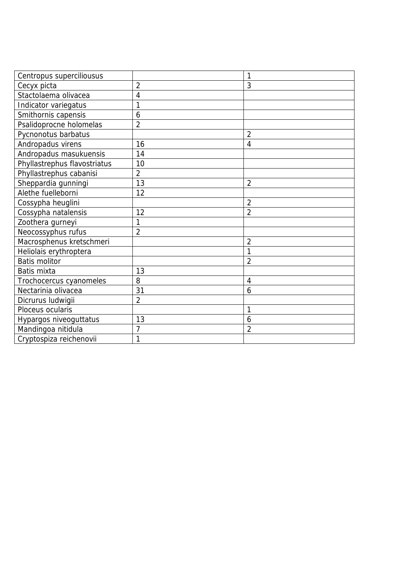| Centropus superciliousus     |                | 1              |
|------------------------------|----------------|----------------|
| Cecyx picta                  | $\overline{2}$ | 3              |
| Stactolaema olivacea         | $\overline{4}$ |                |
| Indicator variegatus         | 1              |                |
| Smithornis capensis          | 6              |                |
| Psalidoprocne holomelas      | $\overline{2}$ |                |
| Pycnonotus barbatus          |                | $\overline{2}$ |
| Andropadus virens            | 16             | $\overline{4}$ |
| Andropadus masukuensis       | 14             |                |
| Phyllastrephus flavostriatus | 10             |                |
| Phyllastrephus cabanisi      | $\overline{2}$ |                |
| Sheppardia gunningi          | 13             | $\overline{2}$ |
| Alethe fuelleborni           | 12             |                |
| Cossypha heuglini            |                | $\overline{2}$ |
| Cossypha natalensis          | 12             | $\overline{2}$ |
| Zoothera gurneyi             | 1              |                |
| Neocossyphus rufus           | $\overline{2}$ |                |
| Macrosphenus kretschmeri     |                | $\overline{2}$ |
| Heliolais erythroptera       |                | 1              |
| <b>Batis molitor</b>         |                | $\overline{2}$ |
| Batis mixta                  | 13             |                |
| Trochocercus cyanomeles      | 8              | $\overline{4}$ |
| Nectarinia olivacea          | 31             | 6              |
| Dicrurus ludwigii            | $\overline{2}$ |                |
| Ploceus ocularis             |                | 1              |
| Hypargos niveoguttatus       | 13             | 6              |
| Mandingoa nitidula           | 7              | $\overline{2}$ |
| Cryptospiza reichenovii      | 1              |                |